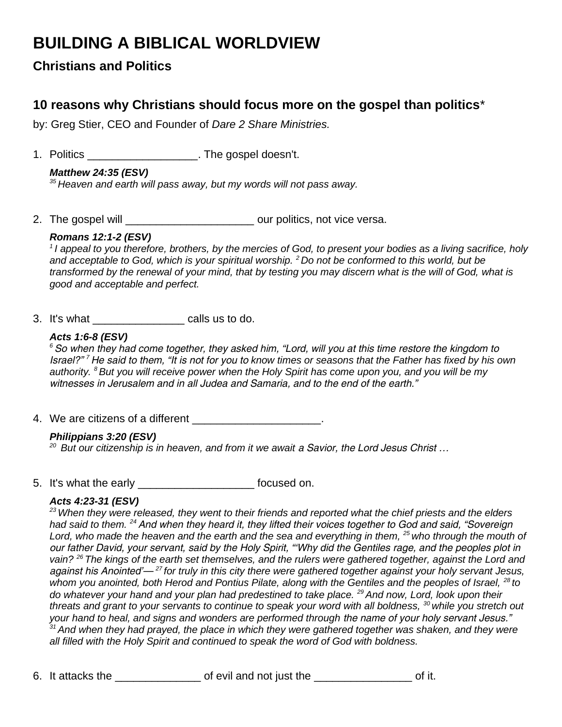# **BUILDING A BIBLICAL WORLDVIEW**

**Christians and Politics**

# **10 reasons why Christians should focus more on the gospel than politics**\*

by: Greg Stier, CEO and Founder of *[Dare 2 Share Ministries.](http://dare2share.org/)*

1. Politics \_\_\_\_\_\_\_\_\_\_\_\_\_\_\_\_\_\_. The gospel doesn't.

# *Matthew 24:35 (ESV)*

*<sup>35</sup>Heaven and earth will pass away, but my words will not pass away.*

2. The gospel will **2.** The gospel will **and the set of the set our politics**, not vice versa.

## *Romans 12:1-2 (ESV)*

*<sup>1</sup>I appeal to you therefore, brothers, by the mercies of God, to present your bodies as a living sacrifice, holy and acceptable to God, which is your spiritual worship. <sup>2</sup>Do not be conformed to this world, but be transformed by the renewal of your mind, that by testing you may discern what is the will of God, what is good and acceptable and perfect.* 

3. It's what calls us to do.

## *Acts 1:6-8 (ESV)*

*<sup>6</sup>So when they had come together, they asked him, "Lord, will you at this time restore the kingdom to Israel?" <sup>7</sup>He said to them, "It is not for you to know times or seasons that the Father has fixed by his own authority. <sup>8</sup>But you will receive power when the Holy Spirit has come upon you, and you will be my witnesses in Jerusalem and in all Judea and Samaria, and to the end of the earth."* 

4. We are citizens of a different **EXACCO EXACCO**.

# *Philippians 3:20 (ESV)*

*<sup>20</sup>But our citizenship is in heaven, and from it we await a Savior, the Lord Jesus Christ …*

5. It's what the early \_\_\_\_\_\_\_\_\_\_\_\_\_\_\_\_\_\_\_ focused on.

#### *Acts 4:23-31 (ESV)*

*<sup>23</sup>When they were released, they went to their friends and reported what the chief priests and the elders had said to them. <sup>24</sup>And when they heard it, they lifted their voices together to God and said, "Sovereign*  Lord, who made the heaven and the earth and the sea and everything in them, <sup>25</sup> who through the mouth of *our father David, your servant, said by the Holy Spirit, "'Why did the Gentiles rage, and the peoples plot in vain? <sup>26</sup>The kings of the earth set themselves, and the rulers were gathered together, against the Lord and against his Anointed'— <sup>27</sup>for truly in this city there were gathered together against your holy servant Jesus,*  whom you anointed, both Herod and Pontius Pilate, along with the Gentiles and the peoples of Israel, <sup>28</sup> to *do whatever your hand and your plan had predestined to take place. <sup>29</sup>And now, Lord, look upon their threats and grant to your servants to continue to speak your word with all boldness, <sup>30</sup>while you stretch out your hand to heal, and signs and wonders are performed through the name of your holy servant Jesus." <sup>31</sup>And when they had prayed, the place in which they were gathered together was shaken, and they were all filled with the Holy Spirit and continued to speak the word of God with boldness.*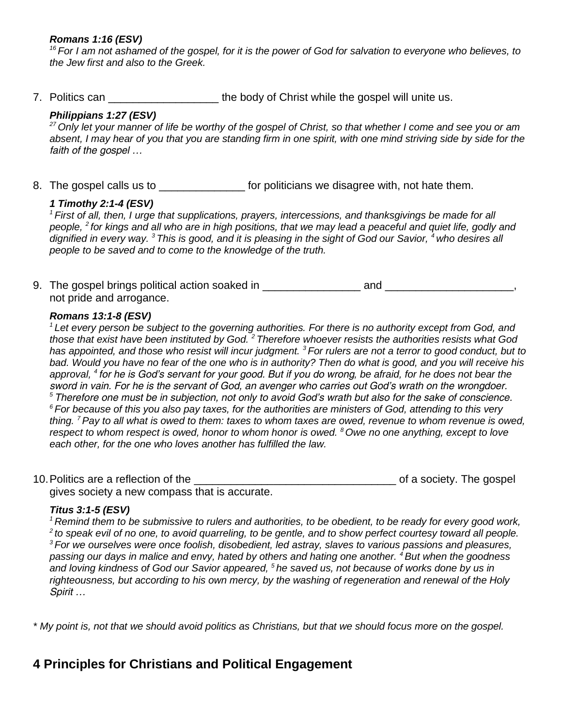#### *Romans 1:16 (ESV)*

*<sup>16</sup>For I am not ashamed of the gospel, for it is the power of God for salvation to everyone who believes, to the Jew first and also to the Greek.* 

7. Politics can \_\_\_\_\_\_\_\_\_\_\_\_\_\_\_\_\_\_\_\_\_\_\_ the body of Christ while the gospel will unite us.

#### *Philippians 1:27 (ESV)*

*<sup>27</sup>Only let your manner of life be worthy of the gospel of Christ, so that whether I come and see you or am absent, I may hear of you that you are standing firm in one spirit, with one mind striving side by side for the faith of the gospel …*

8. The gospel calls us to **Example 20** for politicians we disagree with, not hate them.

#### *1 Timothy 2:1-4 (ESV)*

*<sup>1</sup>First of all, then, I urge that supplications, prayers, intercessions, and thanksgivings be made for all people, <sup>2</sup>for kings and all who are in high positions, that we may lead a peaceful and quiet life, godly and dignified in every way. <sup>3</sup>This is good, and it is pleasing in the sight of God our Savior, <sup>4</sup>who desires all people to be saved and to come to the knowledge of the truth.* 

9. The gospel brings political action soaked in \_\_\_\_\_\_\_\_\_\_\_\_\_\_\_\_ and \_\_\_\_\_\_\_\_\_\_\_\_\_\_\_\_\_\_\_\_\_, not pride and arrogance.

#### *Romans 13:1-8 (ESV)*

*<sup>1</sup>Let every person be subject to the governing authorities. For there is no authority except from God, and those that exist have been instituted by God. <sup>2</sup>Therefore whoever resists the authorities resists what God has appointed, and those who resist will incur judgment. <sup>3</sup>For rulers are not a terror to good conduct, but to bad. Would you have no fear of the one who is in authority? Then do what is good, and you will receive his approval, <sup>4</sup>for he is God's servant for your good. But if you do wrong, be afraid, for he does not bear the sword in vain. For he is the servant of God, an avenger who carries out God's wrath on the wrongdoer. <sup>5</sup>Therefore one must be in subjection, not only to avoid God's wrath but also for the sake of conscience. <sup>6</sup>For because of this you also pay taxes, for the authorities are ministers of God, attending to this very thing. <sup>7</sup>Pay to all what is owed to them: taxes to whom taxes are owed, revenue to whom revenue is owed, respect to whom respect is owed, honor to whom honor is owed. <sup>8</sup>Owe no one anything, except to love each other, for the one who loves another has fulfilled the law.* 

10.Politics are a reflection of the \_\_\_\_\_\_\_\_\_\_\_\_\_\_\_\_\_\_\_\_\_\_\_\_\_\_\_\_\_\_\_\_\_ of a society. The gospel gives society a new compass that is accurate.

#### *Titus 3:1-5 (ESV)*

*<sup>1</sup>Remind them to be submissive to rulers and authorities, to be obedient, to be ready for every good work, <sup>2</sup>to speak evil of no one, to avoid quarreling, to be gentle, and to show perfect courtesy toward all people. <sup>3</sup>For we ourselves were once foolish, disobedient, led astray, slaves to various passions and pleasures, passing our days in malice and envy, hated by others and hating one another. <sup>4</sup>But when the goodness and loving kindness of God our Savior appeared, <sup>5</sup>he saved us, not because of works done by us in righteousness, but according to his own mercy, by the washing of regeneration and renewal of the Holy Spirit …*

*\* My point is, not that we should avoid politics as Christians, but that we should focus more on the gospel.*

# **4 Principles for Christians and Political Engagement**